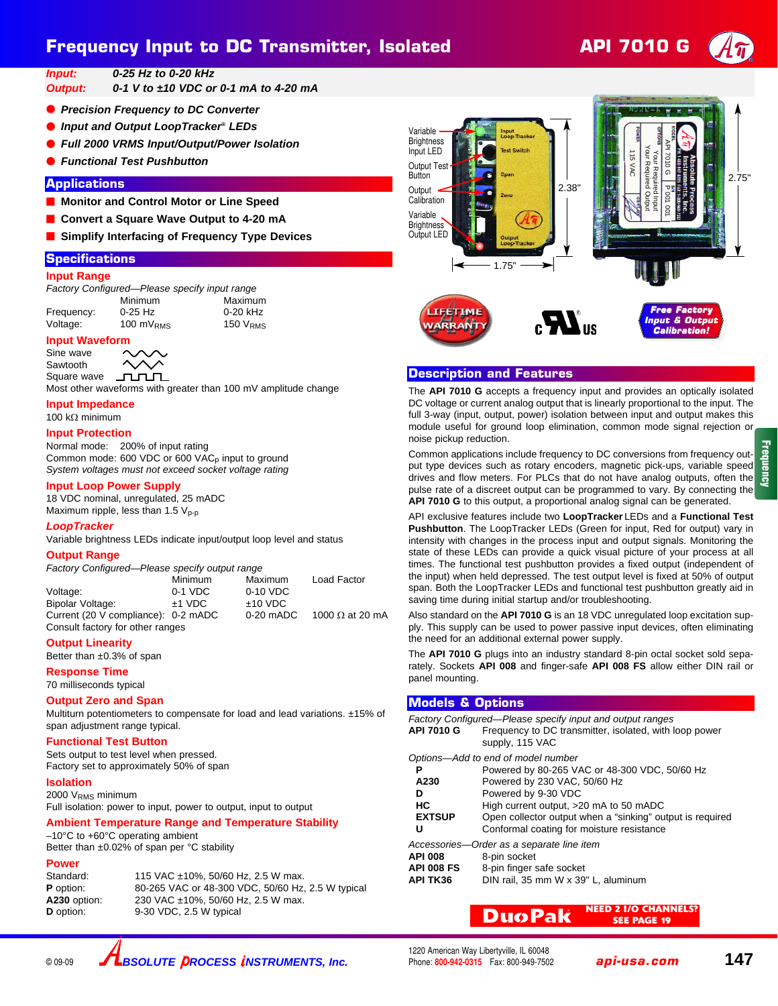# **Frequency Input to DC Transmitter, Isolated API 7010 G**



*Input: 0-25 Hz to 0-20 kHz*

*Output: 0-1 V to ±10 VDC or 0-1 mA to 4-20 mA*

- **Precision Frequency to DC Converter**
- *Input and Output LoopTracker® LEDs*
- *Full 2000 VRMS Input/Output/Power Isolation*
- *Functional Test Pushbutton*

# **Applications**

- **Monitor and Control Motor or Line Speed**
- Convert a Square Wave Output to 4-20 mA
- Simplify Interfacing of Frequency Type Devices

### **Specifications**

### **Input Range**

*Factory Configured—Please specify input range* Minimum Maximum<br>0-25 Hz 0-20 kHz

Frequency:

Voltage: 100 mV<sub>RMS</sub> 150 V<sub>RMS</sub>

# **Input Waveform**

Sine wave Sawtooth Square wave

ллл Most other waveforms with greater than 100 mV amplitude change

# **Input Impedance**

# 100 kΩ minimum

# **Input Protection**

Normal mode: 200% of input rating Common mode: 600 VDC or 600 VAC<sub>p</sub> input to ground *System voltages must not exceed socket voltage rating*

### **Input Loop Power Supply**

18 VDC nominal, unregulated, 25 mADC Maximum ripple, less than 1.5  $V_{p-p}$ 

### *LoopTracker*

Variable brightness LEDs indicate input/output loop level and status

### **Output Range**

*Factory Configured—Please specify output range*

|                                     | Minimum   | Maximum     | Load Factor            |
|-------------------------------------|-----------|-------------|------------------------|
| Voltage:                            | $0-1$ VDC | 0-10 VDC    |                        |
| Bipolar Voltage:                    | $±1$ VDC  | $±10$ VDC   |                        |
| Current (20 V compliance): 0-2 mADC |           | $0-20$ mADC | 1000 $\Omega$ at 20 mA |
| Consult factory for other ranges    |           |             |                        |

### **Output Linearity**

Better than ±0.3% of span

**Response Time**

### 70 milliseconds typical

#### **Output Zero and Span**

Multiturn potentiometers to compensate for load and lead variations. ±15% of span adjustment range typical.

### **Functional Test Button**

Sets output to test level when pressed. Factory set to approximately 50% of span

#### **Isolation**

2000 VRMS minimum Full isolation: power to input, power to output, input to output

# **Ambient Temperature Range and Temperature Stability**

–10°C to +60°C operating ambient Better than ±0.02% of span per °C stability

### **Power**

Standard: 115 VAC ±10%, 50/60 Hz, 2.5 W max. **P** option: 80-265 VAC or 48-300 VDC, 50/60 Hz, 2.5 W typical<br>**A230** option: 230 VAC ±10%, 50/60 Hz, 2.5 W max. 230 VAC ±10%, 50/60 Hz, 2.5 W max. **D** option: 9-30 VDC, 2.5 W typical



1.75" Variable **Brightness** Input LED Output Tes **Button Output Calibration** Variable **Brightness** Output LED 2.38"







# **Input & Outp Calibration! Calibration!**

# **Description and Features**

The **API 7010 G** accepts a frequency input and provides an optically isolated DC voltage or current analog output that is linearly proportional to the input. The full 3-way (input, output, power) isolation between input and output makes this module useful for ground loop elimination, common mode signal rejection or noise pickup reduction.

Common applications include frequency to DC conversions from frequency output type devices such as rotary encoders, magnetic pick-ups, variable speed drives and flow meters. For PLCs that do not have analog outputs, often the pulse rate of a discreet output can be programmed to vary. By connecting the **API 7010 G** to this output, a proportional analog signal can be generated.

API exclusive features include two **LoopTracker** LEDs and a **Functional Test Pushbutton**. The LoopTracker LEDs (Green for input, Red for output) vary in intensity with changes in the process input and output signals. Monitoring the state of these LEDs can provide a quick visual picture of your process at all times. The functional test pushbutton provides a fixed output (independent of the input) when held depressed. The test output level is fixed at 50% of output span. Both the LoopTracker LEDs and functional test pushbutton greatly aid in saving time during initial startup and/or troubleshooting.

Also standard on the **API 7010 G** is an 18 VDC unregulated loop excitation supply. This supply can be used to power passive input devices, often eliminating the need for an additional external power supply.

The **API 7010 G** plugs into an industry standard 8-pin octal socket sold separately. Sockets **API 008** and finger-safe **API 008 FS** allow either DIN rail or panel mounting.

### **Models & Options**

| API 7010 G                                | Factory Configured—Please specify input and output ranges<br>Frequency to DC transmitter, isolated, with loop power<br>supply, 115 VAC |  |
|-------------------------------------------|----------------------------------------------------------------------------------------------------------------------------------------|--|
| Options-Add to end of model number        |                                                                                                                                        |  |
| Р                                         | Powered by 80-265 VAC or 48-300 VDC, 50/60 Hz                                                                                          |  |
| A230                                      | Powered by 230 VAC, 50/60 Hz                                                                                                           |  |
| D                                         | Powered by 9-30 VDC                                                                                                                    |  |
| HС                                        | High current output, >20 mA to 50 mADC                                                                                                 |  |
| <b>EXTSUP</b>                             | Open collector output when a "sinking" output is required                                                                              |  |
| U                                         | Conformal coating for moisture resistance                                                                                              |  |
| Accessories—Order as a separate line item |                                                                                                                                        |  |
| <b>API 008</b>                            | 8-pin socket                                                                                                                           |  |
| <b>API 008 FS</b>                         | 8-pin finger safe socket                                                                                                               |  |
| <b>API TK36</b>                           | DIN rail, 35 mm W x 39" L, aluminum                                                                                                    |  |

**NEED 2 I/O CHANNELS? SEE PAGE 19 DuoPak**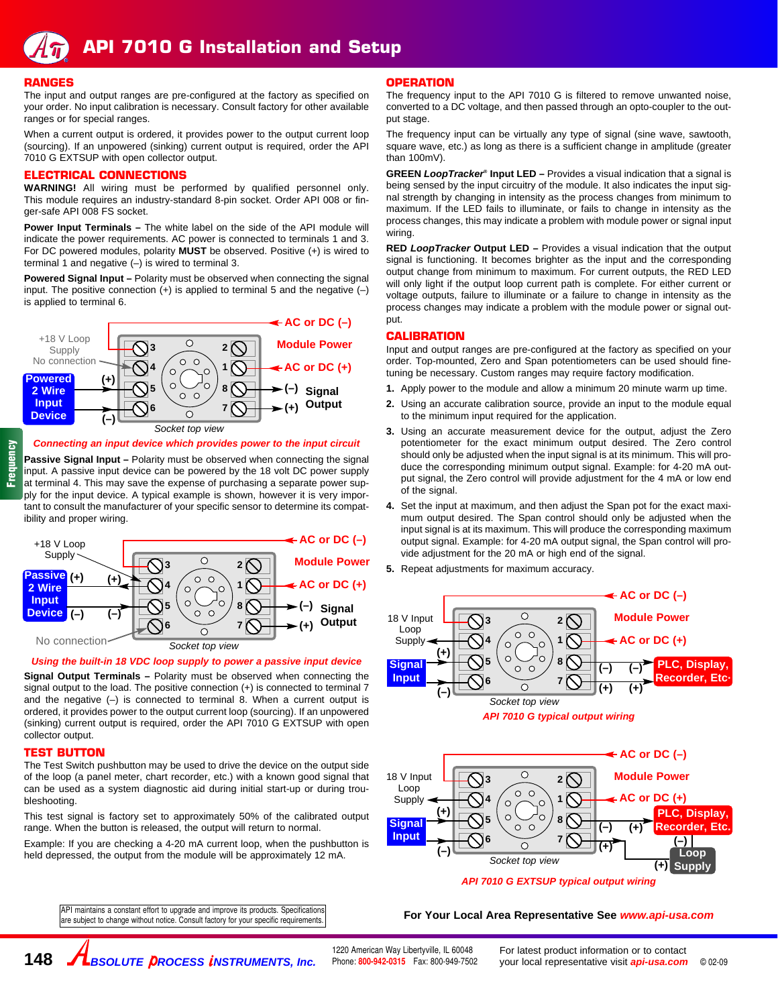### **RANGES**

The input and output ranges are pre-configured at the factory as specified on your order. No input calibration is necessary. Consult factory for other available ranges or for special ranges.

When a current output is ordered, it provides power to the output current loop (sourcing). If an unpowered (sinking) current output is required, order the API 7010 G EXTSUP with open collector output.

### **ELECTRICAL CONNECTIONS**

**WARNING!** All wiring must be performed by qualified personnel only. This module requires an industry-standard 8-pin socket. Order API 008 or finger-safe API 008 FS socket.

**Power Input Terminals –** The white label on the side of the API module will indicate the power requirements. AC power is connected to terminals 1 and 3. For DC powered modules, polarity **MUST** be observed. Positive (+) is wired to terminal 1 and negative  $(-)$  is wired to terminal 3.

**Powered Signal Input – Polarity must be observed when connecting the signal** input. The positive connection  $(+)$  is applied to terminal 5 and the negative  $(-)$ is applied to terminal 6.



#### *Connecting an input device which provides power to the input circuit*

**Passive Signal Input –** Polarity must be observed when connecting the signal input. A passive input device can be powered by the 18 volt DC power supply at terminal 4. This may save the expense of purchasing a separate power supply for the input device. A typical example is shown, however it is very important to consult the manufacturer of your specific sensor to determine its compatibility and proper wiring.



### *Using the built-in 18 VDC loop supply to power a passive input device*

**Signal Output Terminals –** Polarity must be observed when connecting the signal output to the load. The positive connection  $(+)$  is connected to terminal 7 and the negative  $(-)$  is connected to terminal 8. When a current output is ordered, it provides power to the output current loop (sourcing). If an unpowered (sinking) current output is required, order the API 7010 G EXTSUP with open collector output.

# **TEST BUTTON**

**148**

The Test Switch pushbutton may be used to drive the device on the output side of the loop (a panel meter, chart recorder, etc.) with a known good signal that can be used as a system diagnostic aid during initial start-up or during troubleshooting.

This test signal is factory set to approximately 50% of the calibrated output range. When the button is released, the output will return to normal.

Example: If you are checking a 4-20 mA current loop, when the pushbutton is held depressed, the output from the module will be approximately 12 mA.

# **OPERATION**

The frequency input to the API 7010 G is filtered to remove unwanted noise, converted to a DC voltage, and then passed through an opto-coupler to the output stage.

The frequency input can be virtually any type of signal (sine wave, sawtooth, square wave, etc.) as long as there is a sufficient change in amplitude (greater than 100mV).

**GREEN** *LoopTracker***® Input LED –** Provides a visual indication that a signal is being sensed by the input circuitry of the module. It also indicates the input signal strength by changing in intensity as the process changes from minimum to maximum. If the LED fails to illuminate, or fails to change in intensity as the process changes, this may indicate a problem with module power or signal input wiring.

**RED** *LoopTracker* **Output LED –** Provides a visual indication that the output signal is functioning. It becomes brighter as the input and the corresponding output change from minimum to maximum. For current outputs, the RED LED will only light if the output loop current path is complete. For either current or voltage outputs, failure to illuminate or a failure to change in intensity as the process changes may indicate a problem with the module power or signal output.

### **CALIBRATION**

Input and output ranges are pre-configured at the factory as specified on your order. Top-mounted, Zero and Span potentiometers can be used should finetuning be necessary. Custom ranges may require factory modification.

- **1.** Apply power to the module and allow a minimum 20 minute warm up time.
- **2.** Using an accurate calibration source, provide an input to the module equal to the minimum input required for the application.
- **3.** Using an accurate measurement device for the output, adjust the Zero potentiometer for the exact minimum output desired. The Zero control should only be adjusted when the input signal is at its minimum. This will produce the corresponding minimum output signal. Example: for 4-20 mA output signal, the Zero control will provide adjustment for the 4 mA or low end of the signal.
- **4.** Set the input at maximum, and then adjust the Span pot for the exact maximum output desired. The Span control should only be adjusted when the input signal is at its maximum. This will produce the corresponding maximum output signal. Example: for 4-20 mA output signal, the Span control will provide adjustment for the 20 mA or high end of the signal.
- **5.** Repeat adjustments for maximum accuracy.





*API 7010 G EXTSUP typical output wiring*

#### For Your Local Area Representative See *www.api-usa.com*

API maintains a constant effort to upgrade and improve its products. Specifications are subject to change without notice. Consult factory for your specific requirements.

**BSOLUTE PROCESS INSTRUMENTS, Inc.**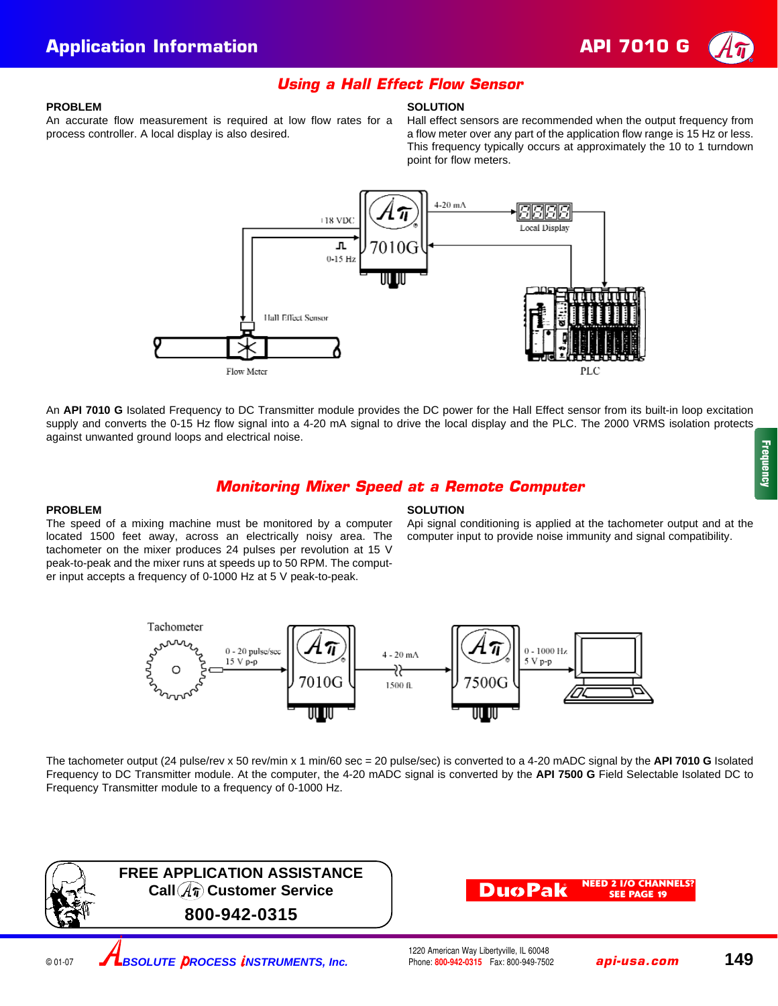

### **PROBLEM**

An accurate flow measurement is required at low flow rates for a process controller. A local display is also desired.

### **SOLUTION**

**Using a Hall Effect Flow Sensor**

Hall effect sensors are recommended when the output frequency from a flow meter over any part of the application flow range is 15 Hz or less. This frequency typically occurs at approximately the 10 to 1 turndown point for flow meters.



An **API 7010 G** Isolated Frequency to DC Transmitter module provides the DC power for the Hall Effect sensor from its built-in loop excitation supply and converts the 0-15 Hz flow signal into a 4-20 mA signal to drive the local display and the PLC. The 2000 VRMS isolation protects against unwanted ground loops and electrical noise.

# **Monitoring Mixer Speed at a Remote Computer**

### **PROBLEM**

The speed of a mixing machine must be monitored by a computer located 1500 feet away, across an electrically noisy area. The tachometer on the mixer produces 24 pulses per revolution at 15 V peak-to-peak and the mixer runs at speeds up to 50 RPM. The computer input accepts a frequency of 0-1000 Hz at 5 V peak-to-peak.

# **SOLUTION**

Api signal conditioning is applied at the tachometer output and at the computer input to provide noise immunity and signal compatibility.



The tachometer output (24 pulse/rev x 50 rev/min x 1 min/60 sec = 20 pulse/sec) is converted to a 4-20 mADC signal by the **API 7010 G** Isolated Frequency to DC Transmitter module. At the computer, the 4-20 mADC signal is converted by the **API 7500 G** Field Selectable Isolated DC to Frequency Transmitter module to a frequency of 0-1000 Hz.